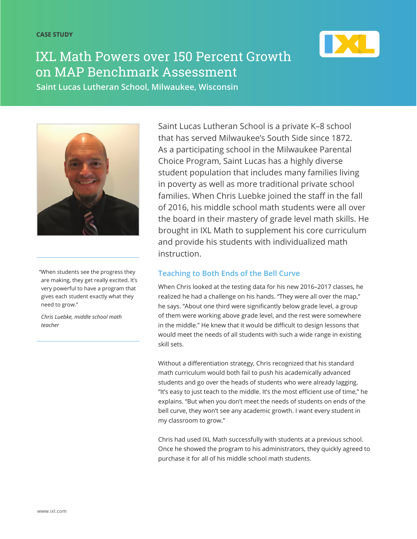

# IXL Math Powers over 150 Percent Growth on MAP Benchmark Assessment

**Saint Lucas Lutheran School, Milwaukee, Wisconsin**



"When students see the progress they are making, they get really excited. It's very powerful to have a program that gives each student exactly what they need to grow."

*Chris Luebke, middle school math teacher*

Saint Lucas Lutheran School is a private K–8 school that has served Milwaukee's South Side since 1872. As a participating school in the Milwaukee Parental Choice Program, Saint Lucas has a highly diverse student population that includes many families living in poverty as well as more traditional private school families. When Chris Luebke joined the staff in the fall of 2016, his middle school math students were all over the board in their mastery of grade level math skills. He brought in IXL Math to supplement his core curriculum and provide his students with individualized math instruction.

### **Teaching to Both Ends of the Bell Curve**

When Chris looked at the testing data for his new 2016–2017 classes, he realized he had a challenge on his hands. "They were all over the map," he says. "About one third were significantly below grade level, a group of them were working above grade level, and the rest were somewhere in the middle." He knew that it would be difficult to design lessons that would meet the needs of all students with such a wide range in existing skill sets.

Without a differentiation strategy, Chris recognized that his standard math curriculum would both fail to push his academically advanced students and go over the heads of students who were already lagging. "It's easy to just teach to the middle. It's the most efficient use of time," he explains. "But when you don't meet the needs of students on ends of the bell curve, they won't see any academic growth. I want every student in my classroom to grow."

Chris had used IXL Math successfully with students at a previous school. Once he showed the program to his administrators, they quickly agreed to purchase it for all of his middle school math students.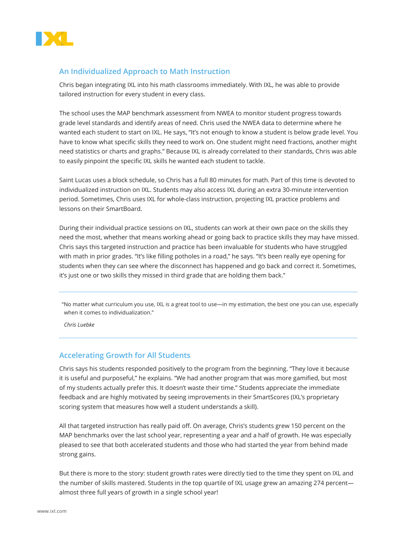

#### **An Individualized Approach to Math Instruction**

Chris began integrating IXL into his math classrooms immediately. With IXL, he was able to provide tailored instruction for every student in every class.

The school uses the MAP benchmark assessment from NWEA to monitor student progress towards grade level standards and identify areas of need. Chris used the NWEA data to determine where he wanted each student to start on IXL. He says, "It's not enough to know a student is below grade level. You have to know what specific skills they need to work on. One student might need fractions, another might need statistics or charts and graphs." Because IXL is already correlated to their standards, Chris was able to easily pinpoint the specific IXL skills he wanted each student to tackle.

Saint Lucas uses a block schedule, so Chris has a full 80 minutes for math. Part of this time is devoted to individualized instruction on IXL. Students may also access IXL during an extra 30-minute intervention period. Sometimes, Chris uses IXL for whole-class instruction, projecting IXL practice problems and lessons on their SmartBoard.

During their individual practice sessions on IXL, students can work at their own pace on the skills they need the most, whether that means working ahead or going back to practice skills they may have missed. Chris says this targeted instruction and practice has been invaluable for students who have struggled with math in prior grades. "It's like filling potholes in a road," he says. "It's been really eye opening for students when they can see where the disconnect has happened and go back and correct it. Sometimes, it's just one or two skills they missed in third grade that are holding them back."

"No matter what curriculum you use, IXL is a great tool to use—in my estimation, the best one you can use, especially when it comes to individualization."

*Chris Luebke*

#### **Accelerating Growth for All Students**

Chris says his students responded positively to the program from the beginning. "They love it because it is useful and purposeful," he explains. "We had another program that was more gamified, but most of my students actually prefer this. It doesn't waste their time." Students appreciate the immediate feedback and are highly motivated by seeing improvements in their SmartScores (IXL's proprietary scoring system that measures how well a student understands a skill).

All that targeted instruction has really paid off. On average, Chris's students grew 150 percent on the MAP benchmarks over the last school year, representing a year and a half of growth. He was especially pleased to see that both accelerated students and those who had started the year from behind made strong gains.

But there is more to the story: student growth rates were directly tied to the time they spent on IXL and the number of skills mastered. Students in the top quartile of IXL usage grew an amazing 274 percent almost three full years of growth in a single school year!